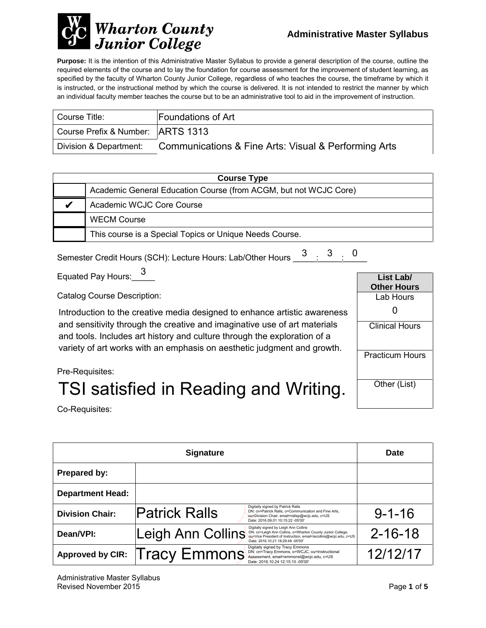

**Purpose:** It is the intention of this Administrative Master Syllabus to provide a general description of the course, outline the required elements of the course and to lay the foundation for course assessment for the improvement of student learning, as specified by the faculty of Wharton County Junior College, regardless of who teaches the course, the timeframe by which it is instructed, or the instructional method by which the course is delivered. It is not intended to restrict the manner by which an individual faculty member teaches the course but to be an administrative tool to aid in the improvement of instruction.

| Course Title:                       | <b>Foundations of Art</b>                            |
|-------------------------------------|------------------------------------------------------|
| Course Prefix & Number:   ARTS 1313 |                                                      |
| Division & Department:              | Communications & Fine Arts: Visual & Performing Arts |

| <b>Course Type</b> |                                                                  |  |
|--------------------|------------------------------------------------------------------|--|
|                    | Academic General Education Course (from ACGM, but not WCJC Core) |  |
|                    | Academic WCJC Core Course                                        |  |
|                    | <b>WECM Course</b>                                               |  |
|                    | This course is a Special Topics or Unique Needs Course.          |  |

Semester Credit Hours (SCH): Lecture Hours: Lab/Other Hours  $\begin{array}{@{}ll} \text{3} & \text{3} & \text{0} \ \text{5} & \text{2} & \text{2} \ \end{array}$ 

Equated Pay Hours:  $\frac{3}{2}$ 

Catalog Course Description:

Introduction to the creative media designed to enhance artistic awareness and sensitivity through the creative and imaginative use of art materials and tools. Includes art history and culture through the exploration of a Introduction to the creative media designed to enhance artistic awareness<br>and sensitivity through the creative and imaginative use of art materials<br>and tools. Includes art history and culture through the exploration of a<br>v



Pre-Requisites:

# TSI satisfied in Reading and Writing.

Co-Requisites:

|                         | <b>Date</b>                                                                                                                                                                                                                       |               |
|-------------------------|-----------------------------------------------------------------------------------------------------------------------------------------------------------------------------------------------------------------------------------|---------------|
| Prepared by:            |                                                                                                                                                                                                                                   |               |
| <b>Department Head:</b> |                                                                                                                                                                                                                                   |               |
| <b>Division Chair:</b>  | Digitally signed by Patrick Ralls<br><b>Patrick Ralls</b><br>DN: cn=Patrick Ralls, o=Communication and Fine Arts,<br>ou=Division Chair, email=rallsp@wcjc.edu, c=US<br>Date: 2016.09.01 10:15:22 -05'00'                          | $9 - 1 - 16$  |
| Dean/VPI:               | Digitally signed by Leigh Ann Collins<br>Leigh Ann Collins<br>DN: cn=Leigh Ann Collins, o=Wharton County Junior College,<br>ou=Vice President of Instruction, email=lacollins@wcjc.edu, c=US<br>Date: 2016.10.21 18:29:48 -05'00' | $2 - 16 - 18$ |
| <b>Approved by CIR:</b> | Digitally signed by Tracy Emmons<br>Tracy Emmons<br>DN: cn=Tracy Emmons, o=WCJC, ou=Instructional<br>Assessment, email=emmonst@wcjc.edu, c=US<br>Date: 2016.10.24 12:15:10 -05'00'                                                | 12/12/17      |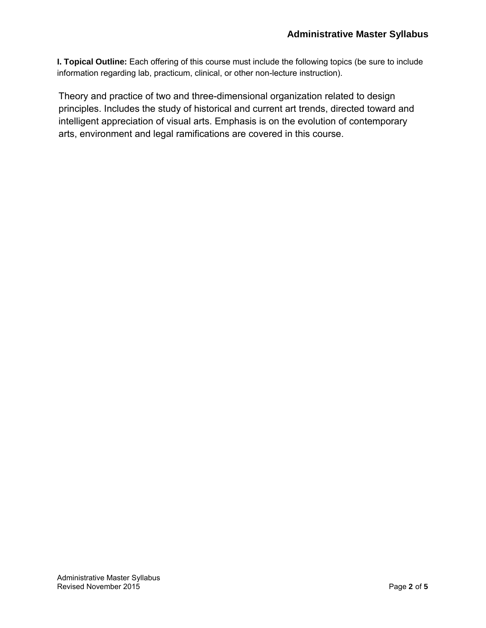**I. Topical Outline:** Each offering of this course must include the following topics (be sure to include information regarding lab, practicum, clinical, or other non-lecture instruction).

Theory and practice of two and three-dimensional organization related to design principles. Includes the study of historical and current art trends, directed toward and intelligent appreciation of visual arts. Emphasis is on the evolution of contemporary arts, environment and legal ramifications are covered in this course.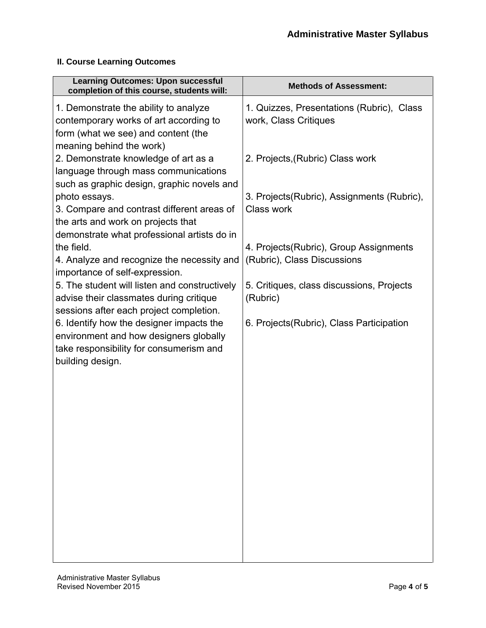### **II. Course Learning Outcomes**

| <b>Methods of Assessment:</b>                                          |
|------------------------------------------------------------------------|
| 1. Quizzes, Presentations (Rubric), Class<br>work, Class Critiques     |
| 2. Projects, (Rubric) Class work                                       |
| 3. Projects (Rubric), Assignments (Rubric),<br>Class work              |
| 4. Projects (Rubric), Group Assignments<br>(Rubric), Class Discussions |
| 5. Critiques, class discussions, Projects<br>(Rubric)                  |
| 6. Projects (Rubric), Class Participation                              |
|                                                                        |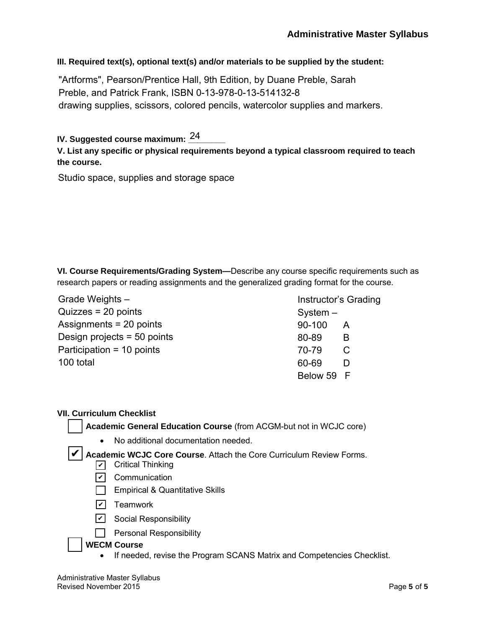**III. Required text(s), optional text(s) and/or materials to be supplied by the student:**

"Artforms", Pearson/Prentice Hall, 9th Edition, by Duane Preble, Sarah Preble, and Patrick Frank, ISBN 0-13-978-0-13-514132-8 drawing supplies, scissors, colored pencils, watercolor supplies and markers.

IV. Suggested course maximum: <u><sup>24</sup>\_\_\_\_\_</u>

**V. List any specific or physical requirements beyond a typical classroom required to teach the course.**

Studio space, supplies and storage space

**VI. Course Requirements/Grading System—**Describe any course specific requirements such as research papers or reading assignments and the generalized grading format for the course.

Grade Weights – Quizzes = 20 points Assignments = 20 points Design projects = 50 points Participation = 10 points 100 total

Instructor's Grading System – 90-100 A 80-89 B 70-79 C 60-69 D Below 59 F

#### **VII. Curriculum Checklist**

**Academic General Education Course** (from ACGM-but not in WCJC core)

• No additional documentation needed.

✔ Academic WCJC Core Course. Attach the Core Curriculum Review Forms.

- **✓** Critical Thinking
- <u>✔</u> Communication
- $\Box$  Empirical & Quantitative Skills
- <u>✔</u>] Teamwork
- <u>✔</u> Social Responsibility
- $\Box$  Personal Responsibility

#### **WECM Course**

• If needed, revise the Program SCANS Matrix and Competencies Checklist.

Administrative Master Syllabus Revised November 2015 **Page 5** of 5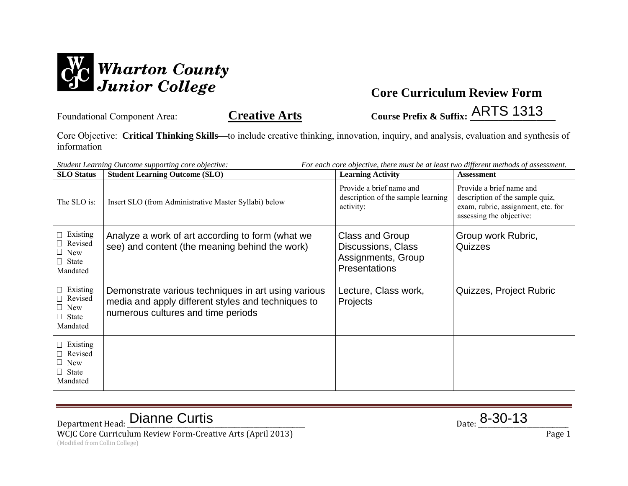

Core Objective: **Critical Thinking Skills—**to include creative thinking, innovation, inquiry, and analysis, evaluation and synthesis of information

| Student Learning Outcome supporting core objective:<br>For each core objective, there must be at least two different methods of assessment. |                                                                                                                                                 |                                                                                     |                                                                                                                               |
|---------------------------------------------------------------------------------------------------------------------------------------------|-------------------------------------------------------------------------------------------------------------------------------------------------|-------------------------------------------------------------------------------------|-------------------------------------------------------------------------------------------------------------------------------|
| <b>SLO</b> Status                                                                                                                           | <b>Student Learning Outcome (SLO)</b>                                                                                                           | <b>Learning Activity</b>                                                            | <b>Assessment</b>                                                                                                             |
| The SLO is:                                                                                                                                 | Insert SLO (from Administrative Master Syllabi) below                                                                                           | Provide a brief name and<br>description of the sample learning<br>activity:         | Provide a brief name and<br>description of the sample quiz,<br>exam, rubric, assignment, etc. for<br>assessing the objective: |
| $\Box$ Existing<br>$\Box$ Revised<br>$\Box$ New<br>$\Box$ State<br>Mandated                                                                 | Analyze a work of art according to form (what we<br>see) and content (the meaning behind the work)                                              | Class and Group<br>Discussions, Class<br>Assignments, Group<br><b>Presentations</b> | Group work Rubric,<br>Quizzes                                                                                                 |
| $\Box$ Existing<br>□ Revised<br>$\Box$ New<br>$\Box$ State<br>Mandated                                                                      | Demonstrate various techniques in art using various<br>media and apply different styles and techniques to<br>numerous cultures and time periods | Lecture, Class work,<br>Projects                                                    | Quizzes, Project Rubric                                                                                                       |
| $\Box$ Existing<br>$\Box$ Revised<br>$\Box$ New<br>$\Box$ State<br>Mandated                                                                 |                                                                                                                                                 |                                                                                     |                                                                                                                               |

Department Head: **Dianne Curtis** and a series of the set of the set of the set of the set of the set of the set of the set of the set of the set of the set of the set of the set of the set of the set of the set of the set WCJC Core Curriculum Review Form-Creative Arts (April 2013) **Page 1** 

(Modified from Collin College)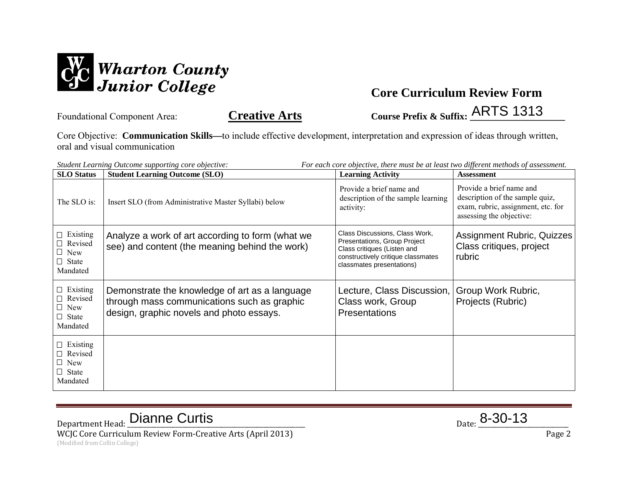

Core Objective: **Communication Skills—**to include effective development, interpretation and expression of ideas through written, oral and visual communication

*Student Learning Outcome supporting core objective: For each core objective, there must be at least two different methods of assessment.* **SLO Status Student Learning Outcome (SLO) Learning Activity Assessment** The SLO is: Insert SLO (from Administrative Master Syllabi) below Provide a brief name and description of the sample learning activity: Provide a brief name and description of the sample quiz, exam, rubric, assignment, etc. for assessing the objective: Existing □ Revised New  $\Box$  State Mandated Existing □ Revised New  $\Box$  State Mandated Existing □ Revised New  $\Box$  State Mandated Analyze a work of art according to form (what we see) and content (the meaning behind the work) Class Discussions, Class Work, Presentations, Group Project Class critiques (Listen and constructively critique classmates classmates presentations) Assignment Rubric, Quizzes Class critiques, project rubric Demonstrate the knowledge of art as a language through mass communications such as graphic design, graphic novels and photo essays. Lecture, Class Discussion, Class work, Group **Presentations** Group Work Rubric, Projects (Rubric)

Department Head: **Dianne Curtis** and a series of the set of the set of the set of the set of the set of the set of the set of the set of the set of the set of the set of the set of the set of the set of the set of the set

WCJC Core Curriculum Review Form-Creative Arts (April 2013) Page 2 (Modified from Collin College)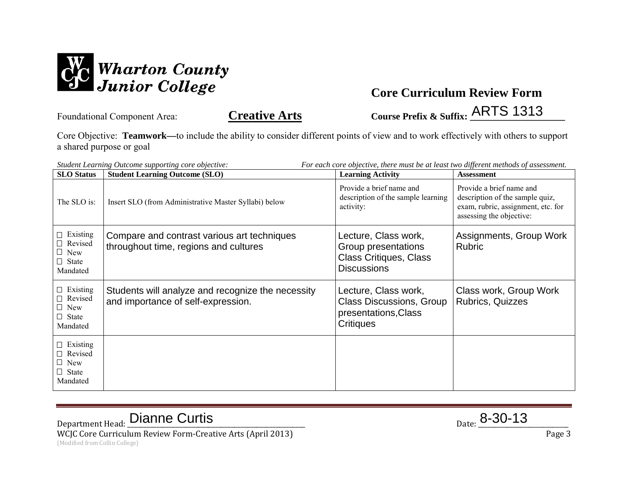

Core Objective: **Teamwork—**to include the ability to consider different points of view and to work effectively with others to support a shared purpose or goal

| For each core objective, there must be at least two different methods of assessment.<br>Student Learning Outcome supporting core objective: |                                                                                         |                                                                                                     |                                                                                                                               |
|---------------------------------------------------------------------------------------------------------------------------------------------|-----------------------------------------------------------------------------------------|-----------------------------------------------------------------------------------------------------|-------------------------------------------------------------------------------------------------------------------------------|
| <b>SLO</b> Status                                                                                                                           | <b>Student Learning Outcome (SLO)</b>                                                   | <b>Learning Activity</b>                                                                            | <b>Assessment</b>                                                                                                             |
| The SLO is:                                                                                                                                 | Insert SLO (from Administrative Master Syllabi) below                                   | Provide a brief name and<br>description of the sample learning<br>activity:                         | Provide a brief name and<br>description of the sample quiz,<br>exam, rubric, assignment, etc. for<br>assessing the objective: |
| $\Box$ Existing<br>$\Box$ Revised<br>$\Box$ New<br>$\Box$ State<br>Mandated                                                                 | Compare and contrast various art techniques<br>throughout time, regions and cultures    | Lecture, Class work,<br>Group presentations<br><b>Class Critiques, Class</b><br><b>Discussions</b>  | Assignments, Group Work<br><b>Rubric</b>                                                                                      |
| $\Box$ Existing<br>$\Box$ Revised<br>$\Box$ New<br>$\Box$ State<br>Mandated                                                                 | Students will analyze and recognize the necessity<br>and importance of self-expression. | Lecture, Class work,<br><b>Class Discussions, Group</b><br>presentations, Class<br><b>Critiques</b> | Class work, Group Work<br><b>Rubrics, Quizzes</b>                                                                             |
| $\Box$ Existing<br>Revised<br>$\Box$ New<br>$\Box$ State<br>Mandated                                                                        |                                                                                         |                                                                                                     |                                                                                                                               |

Department Head: **Dianne Curtis** and a series of the set of the set of the set of the set of the set of the set of the set of the set of the set of the set of the set of the set of the set of the set of the set of the set WCJC Core Curriculum Review Form-Creative Arts (April 2013) **Page 3** Page 3